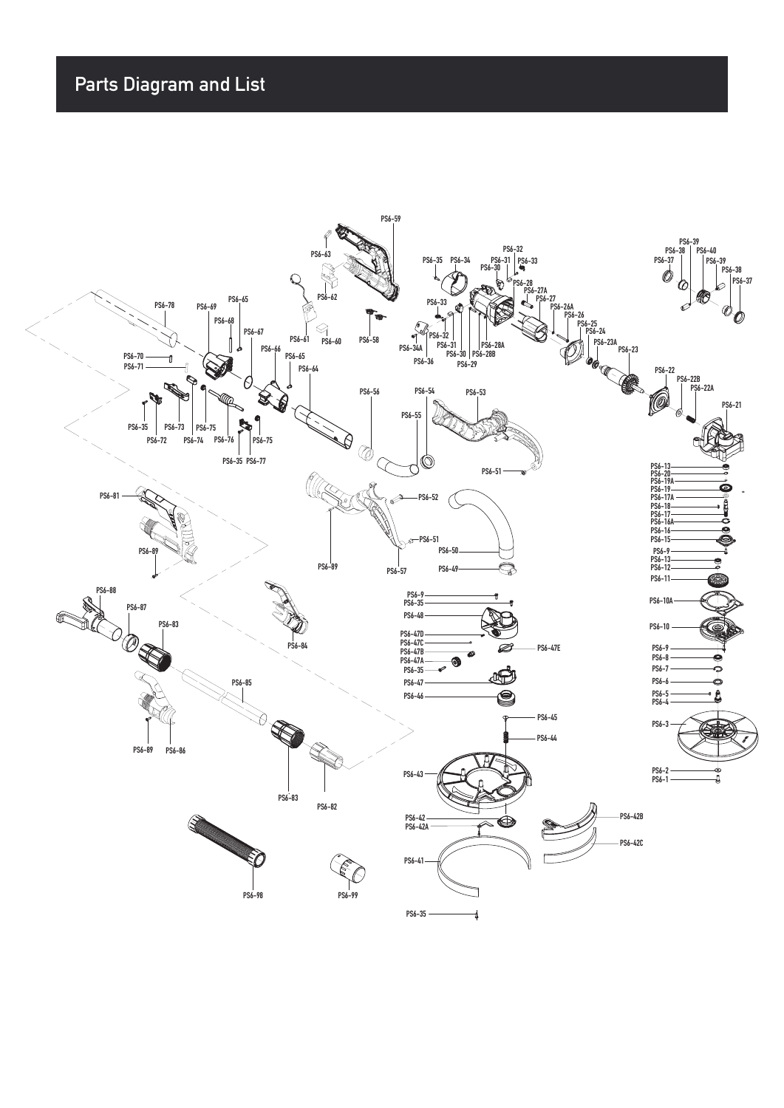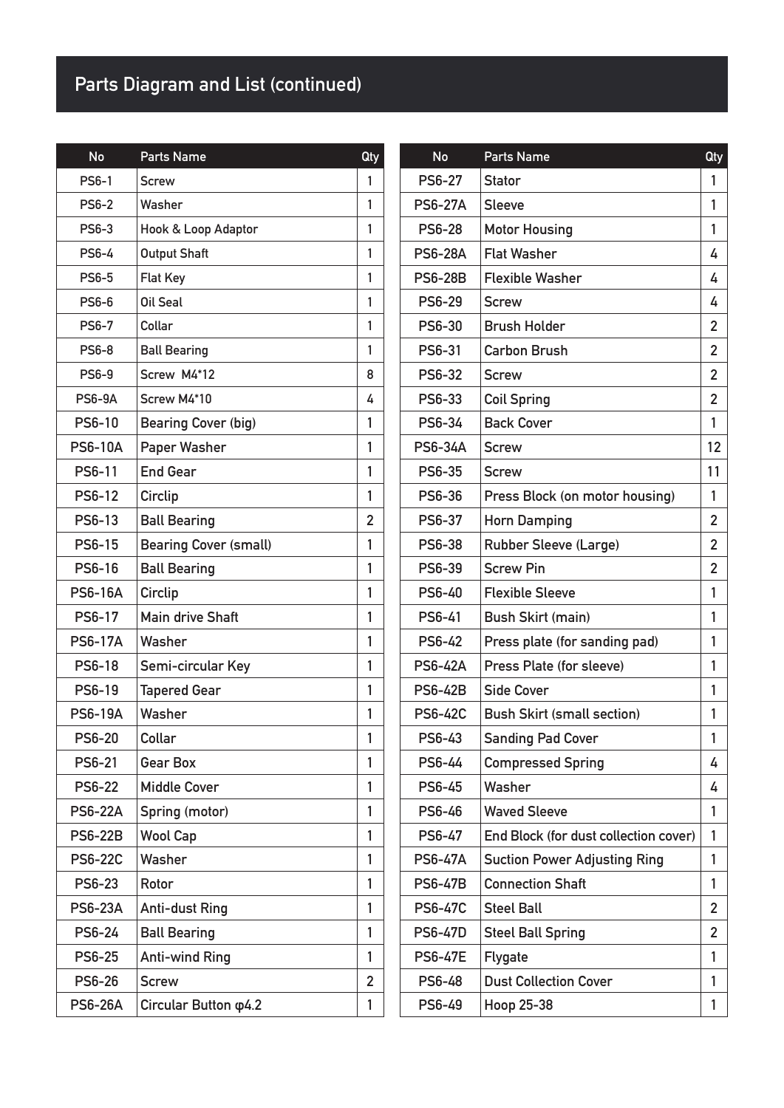## **Parts Diagram and List (continued)**

| <b>No</b>      | Parts Name                    | Qty            | <b>No</b>      |  |
|----------------|-------------------------------|----------------|----------------|--|
| <b>PS6-1</b>   | <b>Screw</b>                  | 1              | <b>PS6-27</b>  |  |
| <b>PS6-2</b>   | Washer                        | 1              | <b>PS6-27A</b> |  |
| <b>PS6-3</b>   | Hook & Loop Adaptor           | 1              | <b>PS6-28</b>  |  |
| <b>PS6-4</b>   | <b>Output Shaft</b>           | 1              | <b>PS6-28A</b> |  |
| <b>PS6-5</b>   | <b>Flat Key</b>               | 1              | <b>PS6-28B</b> |  |
| <b>PS6-6</b>   | Oil Seal                      | 1              | <b>PS6-29</b>  |  |
| <b>PS6-7</b>   | Collar                        | 1              | <b>PS6-30</b>  |  |
| <b>PS6-8</b>   | <b>Ball Bearing</b>           | 1              | PS6-31         |  |
| <b>PS6-9</b>   | Screw M4*12                   | 8              | PS6-32         |  |
| <b>PS6-9A</b>  | Screw M4*10                   | 4              | PS6-33         |  |
| PS6-10         | <b>Bearing Cover (big)</b>    | 1              | PS6-34         |  |
| <b>PS6-10A</b> | Paper Washer                  | 1              | <b>PS6-34A</b> |  |
| PS6-11         | <b>End Gear</b>               | 1              | <b>PS6-35</b>  |  |
| PS6-12         | Circlip                       | 1              | <b>PS6-36</b>  |  |
| PS6-13         | <b>Ball Bearing</b>           | $\overline{2}$ | PS6-37         |  |
| PS6-15         | <b>Bearing Cover (small)</b>  | 1              | <b>PS6-38</b>  |  |
| PS6-16         | <b>Ball Bearing</b>           | 1              | PS6-39         |  |
| <b>PS6-16A</b> | Circlip                       | 1              | PS6-40         |  |
| PS6-17         | <b>Main drive Shaft</b>       | 1              | PS6-41         |  |
| <b>PS6-17A</b> | Washer                        | 1              | PS6-42         |  |
| <b>PS6-18</b>  | Semi-circular Key             | 1              | <b>PS6-42A</b> |  |
| PS6-19         | <b>Tapered Gear</b>           | 1              | <b>PS6-42B</b> |  |
| <b>PS6-19A</b> | Washer                        | 1              | <b>PS6-42C</b> |  |
| <b>PS6-20</b>  | Collar                        | 1              | PS6-43         |  |
| <b>PS6-21</b>  | <b>Gear Box</b>               | 1              | <b>PS6-44</b>  |  |
| <b>PS6-22</b>  | <b>Middle Cover</b>           | 1              | PS6-45         |  |
| <b>PS6-22A</b> | Spring (motor)                | 1              | PS6-46         |  |
| <b>PS6-22B</b> | <b>Wool Cap</b>               | 1              | PS6-47         |  |
| <b>PS6-22C</b> | Washer                        | 1              | <b>PS6-47A</b> |  |
| <b>PS6-23</b>  | Rotor                         | 1              | <b>PS6-47B</b> |  |
| <b>PS6-23A</b> | <b>Anti-dust Ring</b>         | 1              | <b>PS6-47C</b> |  |
| PS6-24         | <b>Ball Bearing</b>           | 1              | <b>PS6-47D</b> |  |
| <b>PS6-25</b>  | <b>Anti-wind Ring</b>         | 1              | <b>PS6-47E</b> |  |
| <b>PS6-26</b>  | <b>Screw</b>                  | $\overline{2}$ | PS6-48         |  |
| <b>PS6-26A</b> | Circular Button $\varphi$ 4.2 | 1              | PS6-49         |  |

| No             | <b>Parts Name</b>                     | Qty            |
|----------------|---------------------------------------|----------------|
| <b>PS6-27</b>  | <b>Stator</b>                         | 1              |
| <b>PS6-27A</b> | <b>Sleeve</b>                         | 1              |
| <b>PS6-28</b>  | <b>Motor Housing</b>                  | 1              |
| <b>PS6-28A</b> | <b>Flat Washer</b>                    | 4              |
| <b>PS6-28B</b> | <b>Flexible Washer</b>                | 4              |
| <b>PS6-29</b>  | <b>Screw</b>                          | 4              |
| PS6-30         | <b>Brush Holder</b>                   | 2              |
| PS6-31         | <b>Carbon Brush</b>                   | $\overline{2}$ |
| PS6-32         | <b>Screw</b>                          | 2              |
| PS6-33         | <b>Coil Spring</b>                    | $\overline{2}$ |
| PS6-34         | <b>Back Cover</b>                     | 1              |
| <b>PS6-34A</b> | <b>Screw</b>                          | 12             |
| <b>PS6-35</b>  | <b>Screw</b>                          | 11             |
| <b>PS6-36</b>  | Press Block (on motor housing)        | 1              |
| PS6-37         | <b>Horn Damping</b>                   | $\overline{2}$ |
| <b>PS6-38</b>  | <b>Rubber Sleeve (Large)</b>          | $\overline{2}$ |
| <b>PS6-39</b>  | <b>Screw Pin</b>                      | $\overline{2}$ |
| PS6-40         | <b>Flexible Sleeve</b>                | 1              |
| PS6-41         | <b>Bush Skirt (main)</b>              | 1              |
| <b>PS6-42</b>  | Press plate (for sanding pad)         | 1              |
| <b>PS6-42A</b> | Press Plate (for sleeve)              | 1              |
| <b>PS6-42B</b> | <b>Side Cover</b>                     | 1              |
| <b>PS6-42C</b> | <b>Bush Skirt (small section)</b>     | 1              |
| PS6-43         | <b>Sanding Pad Cover</b>              | 1              |
| PS6-44         | <b>Compressed Spring</b>              | 4              |
| PS6-45         | Washer                                | 4              |
| PS6-46         | <b>Waved Sleeve</b>                   | 1              |
| PS6-47         | End Block (for dust collection cover) | 1              |
| <b>PS6-47A</b> | <b>Suction Power Adjusting Ring</b>   | 1              |
| <b>PS6-47B</b> | <b>Connection Shaft</b>               | 1              |
| <b>PS6-47C</b> | <b>Steel Ball</b>                     | 2              |
| <b>PS6-47D</b> | <b>Steel Ball Spring</b>              | $\overline{2}$ |
| <b>PS6-47E</b> | <b>Flygate</b>                        | 1              |
| <b>PS6-48</b>  | <b>Dust Collection Cover</b>          | 1              |
| PS6-49         | Hoop 25-38                            | 1              |